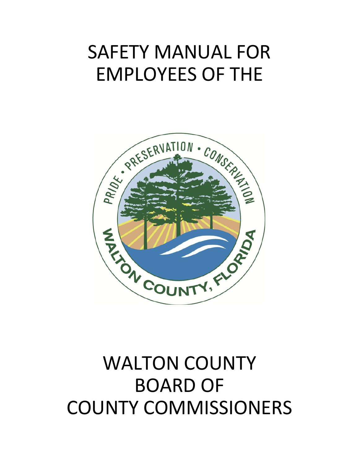# SAFETY MANUAL FOR EMPLOYEES OF THE



# WALTON COUNTY BOARD OF COUNTY COMMISSIONERS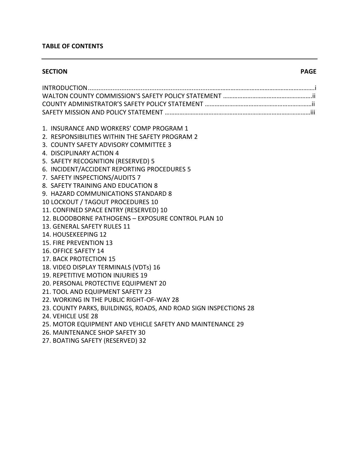### **TABLE OF CONTENTS**

#### **SECTION PAGE**

| 1. INSURANCE AND WORKERS' COMP PROGRAM 1<br>2. RESPONSIBILITIES WITHIN THE SAFETY PROGRAM 2<br>3. COUNTY SAFETY ADVISORY COMMITTEE 3              |
|---------------------------------------------------------------------------------------------------------------------------------------------------|
| 4. DISCIPLINARY ACTION 4<br>5. SAFETY RECOGNITION (RESERVED) 5                                                                                    |
| 6. INCIDENT/ACCIDENT REPORTING PROCEDURES 5<br>7. SAFETY INSPECTIONS/AUDITS 7                                                                     |
| 8. SAFETY TRAINING AND EDUCATION 8<br>9. HAZARD COMMUNICATIONS STANDARD 8                                                                         |
| 10 LOCKOUT / TAGOUT PROCEDURES 10<br>11. CONFINED SPACE ENTRY (RESERVED) 10<br>12. BLOODBORNE PATHOGENS - EXPOSURE CONTROL PLAN 10                |
| 13. GENERAL SAFETY RULES 11<br>14. HOUSEKEEPING 12                                                                                                |
| 15. FIRE PREVENTION 13<br>16. OFFICE SAFETY 14                                                                                                    |
| 17. BACK PROTECTION 15<br>18. VIDEO DISPLAY TERMINALS (VDTs) 16                                                                                   |
| 19. REPETITIVE MOTION INJURIES 19<br>20. PERSONAL PROTECTIVE EQUIPMENT 20                                                                         |
| 21. TOOL AND EQUIPMENT SAFETY 23<br>22. WORKING IN THE PUBLIC RIGHT-OF-WAY 28<br>23. COUNTY PARKS, BUILDINGS, ROADS, AND ROAD SIGN INSPECTIONS 28 |
| 24. VEHICLE USE 28<br>25. MOTOR EQUIPMENT AND VEHICLE SAFETY AND MAINTENANCE 29                                                                   |
| 26. MAINTENANCE SHOP SAFETY 30<br>27. BOATING SAFETY (RESERVED) 32                                                                                |
|                                                                                                                                                   |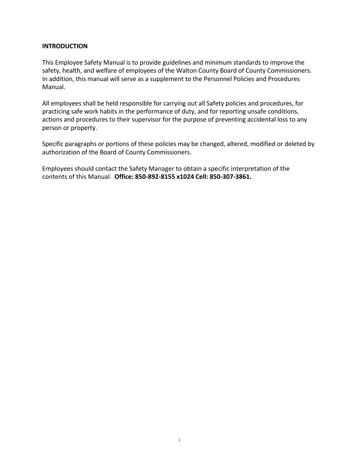#### **INTRODUCTION**

This Employee Safety Manual is to provide guidelines and minimum standards to improve the safety, health, and welfare of employees of the Walton County Board of County Commissioners. In addition, this manual will serve as a supplement to the Personnel Policies and Procedures Manual.

All employees shall be held responsible for carrying out all Safety policies and procedures, for practicing safe work habits in the performance of duty, and for reporting unsafe conditions, actions and procedures to their supervisor for the purpose of preventing accidental loss to any person or property.

Specific paragraphs or portions of these policies may be changed, altered, modified or deleted by authorization of the Board of County Commissioners.

Employees should contact the Safety Manager to obtain a specific interpretation of the contents of this Manual. **Office: 850-892-8155 x1024 Cell: 850-307-3861.**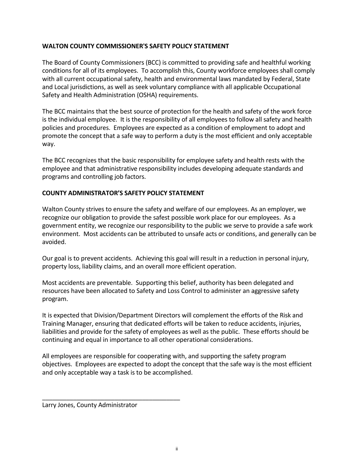#### **WALTON COUNTY COMMISSIONER'S SAFETY POLICY STATEMENT**

The Board of County Commissioners (BCC) is committed to providing safe and healthful working conditions for all of its employees. To accomplish this, County workforce employees shall comply with all current occupational safety, health and environmental laws mandated by Federal, State and Local jurisdictions, as well as seek voluntary compliance with all applicable Occupational Safety and Health Administration (OSHA) requirements.

The BCC maintains that the best source of protection for the health and safety of the work force is the individual employee. It is the responsibility of all employees to follow all safety and health policies and procedures. Employees are expected as a condition of employment to adopt and promote the concept that a safe way to perform a duty is the most efficient and only acceptable way.

The BCC recognizes that the basic responsibility for employee safety and health rests with the employee and that administrative responsibility includes developing adequate standards and programs and controlling job factors.

### **COUNTY ADMINISTRATOR'S SAFETY POLICY STATEMENT**

Walton County strives to ensure the safety and welfare of our employees. As an employer, we recognize our obligation to provide the safest possible work place for our employees. As a government entity, we recognize our responsibility to the public we serve to provide a safe work environment. Most accidents can be attributed to unsafe acts or conditions, and generally can be avoided.

Our goal is to prevent accidents. Achieving this goal will result in a reduction in personal injury, property loss, liability claims, and an overall more efficient operation.

Most accidents are preventable. Supporting this belief, authority has been delegated and resources have been allocated to Safety and Loss Control to administer an aggressive safety program.

It is expected that Division/Department Directors will complement the efforts of the Risk and Training Manager, ensuring that dedicated efforts will be taken to reduce accidents, injuries, liabilities and provide for the safety of employees as well as the public. These efforts should be continuing and equal in importance to all other operational considerations.

All employees are responsible for cooperating with, and supporting the safety program objectives. Employees are expected to adopt the concept that the safe way is the most efficient and only acceptable way a task is to be accomplished.

Larry Jones, County Administrator

\_\_\_\_\_\_\_\_\_\_\_\_\_\_\_\_\_\_\_\_\_\_\_\_\_\_\_\_\_\_\_\_\_\_\_\_\_\_\_\_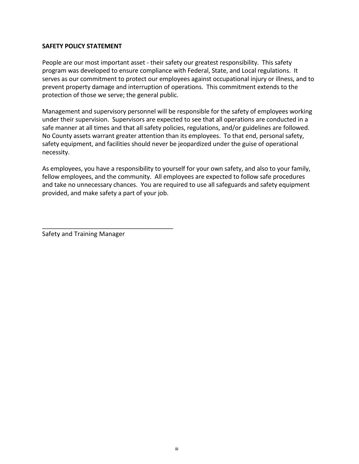#### **SAFETY POLICY STATEMENT**

People are our most important asset - their safety our greatest responsibility. This safety program was developed to ensure compliance with Federal, State, and Local regulations. It serves as our commitment to protect our employees against occupational injury or illness, and to prevent property damage and interruption of operations. This commitment extends to the protection of those we serve; the general public.

Management and supervisory personnel will be responsible for the safety of employees working under their supervision. Supervisors are expected to see that all operations are conducted in a safe manner at all times and that all safety policies, regulations, and/or guidelines are followed. No County assets warrant greater attention than its employees. To that end, personal safety, safety equipment, and facilities should never be jeopardized under the guise of operational necessity.

As employees, you have a responsibility to yourself for your own safety, and also to your family, fellow employees, and the community. All employees are expected to follow safe procedures and take no unnecessary chances. You are required to use all safeguards and safety equipment provided, and make safety a part of your job.

Safety and Training Manager

\_\_\_\_\_\_\_\_\_\_\_\_\_\_\_\_\_\_\_\_\_\_\_\_\_\_\_\_\_\_\_\_\_\_\_\_\_\_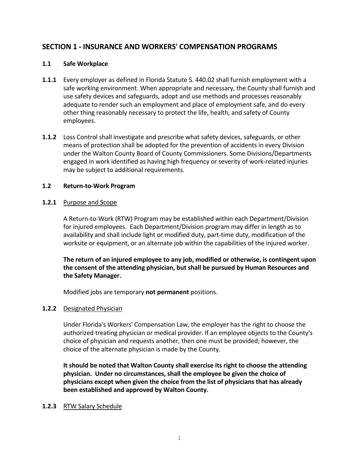# **SECTION 1 - INSURANCE AND WORKERS' COMPENSATION PROGRAMS**

### **1.1 Safe Workplace**

- **1.1.1** Every employer as defined in Florida Statute S. 440.02 shall furnish employment with a safe working environment. When appropriate and necessary, the County shall furnish and use safety devices and safeguards, adopt and use methods and processes reasonably adequate to render such an employment and place of employment safe, and do every other thing reasonably necessary to protect the life, health, and safety of County employees.
- **1.1.2** Loss Control shall investigate and prescribe what safety devices, safeguards, or other means of protection shall be adopted for the prevention of accidents in every Division under the Walton County Board of County Commissioners. Some Divisions/Departments engaged in work identified as having high frequency or severity of work-related injuries may be subject to additional requirements.

### **1.2 Return-to-Work Program**

### **1.2.1** Purpose and Scope

A Return-to-Work (RTW) Program may be established within each Department/Division for injured employees. Each Department/Division program may differ in length as to availability and shall include light or modified duty, part-time duty, modification of the worksite or equipment, or an alternate job within the capabilities of the injured worker.

**The return of an injured employee to any job, modified or otherwise, is contingent upon the consent of the attending physician, but shall be pursued by Human Resources and the Safety Manager.**

Modified jobs are temporary **not permanent** positions.

#### **1.2.2** Designated Physician

Under Florida's Workers' Compensation Law, the employer has the right to choose the authorized treating physician or medical provider. If an employee objects to the County's choice of physician and requests another, then one must be provided; however, the choice of the alternate physician is made by the County.

**It should be noted that Walton County shall exercise its right to choose the attending physician. Under no circumstances, shall the employee be given the choice of physicians except when given the choice from the list of physicians that has already been established and approved by Walton County.**

#### **1.2.3** RTW Salary Schedule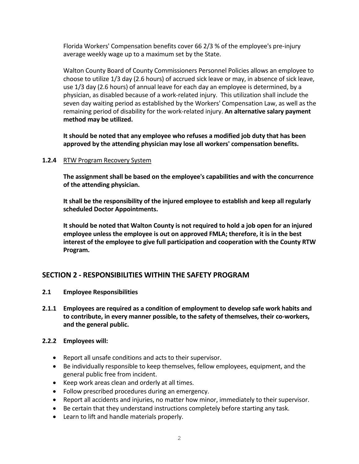Florida Workers' Compensation benefits cover 66 2/3 % of the employee's pre-injury average weekly wage up to a maximum set by the State.

Walton County Board of County Commissioners Personnel Policies allows an employee to choose to utilize 1/3 day (2.6 hours) of accrued sick leave or may, in absence of sick leave, use 1/3 day (2.6 hours) of annual leave for each day an employee is determined, by a physician, as disabled because of a work-related injury. This utilization shall include the seven day waiting period as established by the Workers' Compensation Law, as well as the remaining period of disability for the work-related injury. **An alternative salary payment method may be utilized.**

**It should be noted that any employee who refuses a modified job duty that has been approved by the attending physician may lose all workers' compensation benefits.**

### **1.2.4** RTW Program Recovery System

**The assignment shall be based on the employee's capabilities and with the concurrence of the attending physician.**

**It shall be the responsibility of the injured employee to establish and keep all regularly scheduled Doctor Appointments.**

**It should be noted that Walton County is not required to hold a job open for an injured employee unless the employee is out on approved FMLA; therefore, it is in the best interest of the employee to give full participation and cooperation with the County RTW Program.**

# **SECTION 2 - RESPONSIBILITIES WITHIN THE SAFETY PROGRAM**

- **2.1 Employee Responsibilities**
- **2.1.1 Employees are required as a condition of employment to develop safe work habits and to contribute, in every manner possible, to the safety of themselves, their co-workers, and the general public.**

#### **2.2.2 Employees will:**

- Report all unsafe conditions and acts to their supervisor.
- Be individually responsible to keep themselves, fellow employees, equipment, and the general public free from incident.
- Keep work areas clean and orderly at all times.
- Follow prescribed procedures during an emergency.
- Report all accidents and injuries, no matter how minor, immediately to their supervisor.
- Be certain that they understand instructions completely before starting any task.
- Learn to lift and handle materials properly.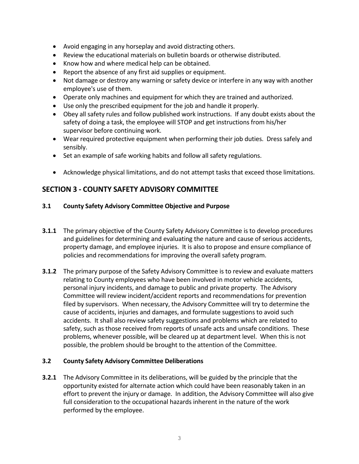- Avoid engaging in any horseplay and avoid distracting others.
- Review the educational materials on bulletin boards or otherwise distributed.
- Know how and where medical help can be obtained.
- Report the absence of any first aid supplies or equipment.
- Not damage or destroy any warning or safety device or interfere in any way with another employee's use of them.
- Operate only machines and equipment for which they are trained and authorized.
- Use only the prescribed equipment for the job and handle it properly.
- Obey all safety rules and follow published work instructions. If any doubt exists about the safety of doing a task, the employee will STOP and get instructions from his/her supervisor before continuing work.
- Wear required protective equipment when performing their job duties. Dress safely and sensibly.
- Set an example of safe working habits and follow all safety regulations.
- Acknowledge physical limitations, and do not attempt tasks that exceed those limitations.

# **SECTION 3 - COUNTY SAFETY ADVISORY COMMITTEE**

### **3.1 County Safety Advisory Committee Objective and Purpose**

- **3.1.1** The primary objective of the County Safety Advisory Committee is to develop procedures and guidelines for determining and evaluating the nature and cause of serious accidents, property damage, and employee injuries. It is also to propose and ensure compliance of policies and recommendations for improving the overall safety program.
- **3.1.2** The primary purpose of the Safety Advisory Committee is to review and evaluate matters relating to County employees who have been involved in motor vehicle accidents, personal injury incidents, and damage to public and private property. The Advisory Committee will review incident/accident reports and recommendations for prevention filed by supervisors. When necessary, the Advisory Committee will try to determine the cause of accidents, injuries and damages, and formulate suggestions to avoid such accidents. It shall also review safety suggestions and problems which are related to safety, such as those received from reports of unsafe acts and unsafe conditions. These problems, whenever possible, will be cleared up at department level. When this is not possible, the problem should be brought to the attention of the Committee.

#### **3.2 County Safety Advisory Committee Deliberations**

**3.2.1** The Advisory Committee in its deliberations, will be guided by the principle that the opportunity existed for alternate action which could have been reasonably taken in an effort to prevent the injury or damage. In addition, the Advisory Committee will also give full consideration to the occupational hazards inherent in the nature of the work performed by the employee.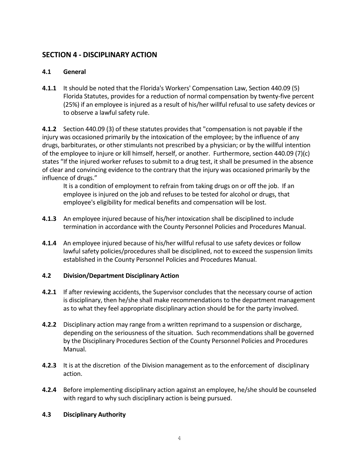# **SECTION 4 - DISCIPLINARY ACTION**

# **4.1 General**

**4.1.1** It should be noted that the Florida's Workers' Compensation Law, Section 440.09 (5) Florida Statutes, provides for a reduction of normal compensation by twenty-five percent (25%) if an employee is injured as a result of his/her willful refusal to use safety devices or to observe a lawful safety rule.

**4.1.2** Section 440.09 (3) of these statutes provides that "compensation is not payable if the injury was occasioned primarily by the intoxication of the employee; by the influence of any drugs, barbiturates, or other stimulants not prescribed by a physician; or by the willful intention of the employee to injure or kill himself, herself, or another. Furthermore, section 440.09 (7)(c) states "If the injured worker refuses to submit to a drug test, it shall be presumed in the absence of clear and convincing evidence to the contrary that the injury was occasioned primarily by the influence of drugs."

It is a condition of employment to refrain from taking drugs on or off the job. If an employee is injured on the job and refuses to be tested for alcohol or drugs, that employee's eligibility for medical benefits and compensation will be lost.

- **4.1.3** An employee injured because of his/her intoxication shall be disciplined to include termination in accordance with the County Personnel Policies and Procedures Manual.
- **4.1.4** An employee injured because of his/her willful refusal to use safety devices or follow lawful safety policies/procedures shall be disciplined, not to exceed the suspension limits established in the County Personnel Policies and Procedures Manual.

#### **4.2 Division/Department Disciplinary Action**

- **4.2.1** If after reviewing accidents, the Supervisor concludes that the necessary course of action is disciplinary, then he/she shall make recommendations to the department management as to what they feel appropriate disciplinary action should be for the party involved.
- **4.2.2** Disciplinary action may range from a written reprimand to a suspension or discharge, depending on the seriousness of the situation. Such recommendations shall be governed by the Disciplinary Procedures Section of the County Personnel Policies and Procedures Manual.
- **4.2.3** It is at the discretion of the Division management as to the enforcement of disciplinary action.
- **4.2.4** Before implementing disciplinary action against an employee, he/she should be counseled with regard to why such disciplinary action is being pursued.

# **4.3 Disciplinary Authority**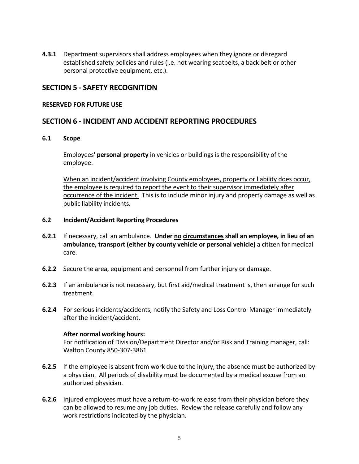**4.3.1** Department supervisors shall address employees when they ignore or disregard established safety policies and rules (i.e. not wearing seatbelts, a back belt or other personal protective equipment, etc.).

# **SECTION 5 - SAFETY RECOGNITION**

#### **RESERVED FOR FUTURE USE**

# **SECTION 6 - INCIDENT AND ACCIDENT REPORTING PROCEDURES**

#### **6.1 Scope**

Employees' **personal property** in vehicles or buildings is the responsibility of the employee.

When an incident/accident involving County employees, property or liability does occur, the employee is required to report the event to their supervisor immediately after occurrence of the incident. This is to include minor injury and property damage as well as public liability incidents.

#### **6.2 Incident/Accident Reporting Procedures**

- **6.2.1** If necessary, call an ambulance. **Under no circumstances shall an employee, in lieu of an ambulance, transport (either by county vehicle or personal vehicle)** a citizen for medical care.
- **6.2.2** Secure the area, equipment and personnel from further injury or damage.
- **6.2.3** If an ambulance is not necessary, but first aid/medical treatment is, then arrange for such treatment.
- **6.2.4** For serious incidents/accidents, notify the Safety and Loss Control Manager immediately after the incident/accident.

#### **After normal working hours:**

For notification of Division/Department Director and/or Risk and Training manager, call: Walton County 850-307-3861

- **6.2.5** If the employee is absent from work due to the injury, the absence must be authorized by a physician. All periods of disability must be documented by a medical excuse from an authorized physician.
- **6.2.6** Injured employees must have a return-to-work release from their physician before they can be allowed to resume any job duties. Review the release carefully and follow any work restrictions indicated by the physician.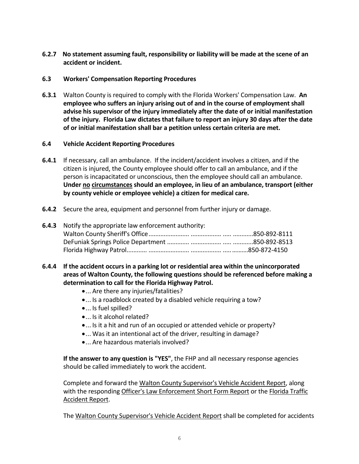**6.2.7 No statement assuming fault, responsibility or liability will be made at the scene of an accident or incident.** 

# **6.3 Workers' Compensation Reporting Procedures**

**6.3.1** Walton County is required to comply with the Florida Workers' Compensation Law. **An employee who suffers an injury arising out of and in the course of employment shall advise his supervisor of the injury immediately after the date of or initial manifestation of the injury. Florida Law dictates that failure to report an injury 30 days after the date of or initial manifestation shall bar a petition unless certain criteria are met.**

### **6.4 Vehicle Accident Reporting Procedures**

- **6.4.1** If necessary, call an ambulance. If the incident/accident involves a citizen, and if the citizen is injured, the County employee should offer to call an ambulance, and if the person is incapacitated or unconscious, then the employee should call an ambulance. **Under no circumstances should an employee, in lieu of an ambulance, transport (either by county vehicle or employee vehicle) a citizen for medical care.**
- **6.4.2** Secure the area, equipment and personnel from further injury or damage.

| <b>6.4.3</b> Notify the appropriate law enforcement authority: |  |
|----------------------------------------------------------------|--|
|                                                                |  |
|                                                                |  |
|                                                                |  |

- **6.4.4 If the accident occurs in a parking lot or residential area within the unincorporated areas of Walton County, the following questions should be referenced before making a determination to call for the Florida Highway Patrol.**
	- ... Are there any injuries/fatalities?
	- ... Is a roadblock created by a disabled vehicle requiring a tow?
	- ... Is fuel spilled?
	- ... Is it alcohol related?
	- ... Is it a hit and run of an occupied or attended vehicle or property?
	- ... Was it an intentional act of the driver, resulting in damage?
	- ... Are hazardous materials involved?

**If the answer to any question is "YES"**, the FHP and all necessary response agencies should be called immediately to work the accident.

Complete and forward the Walton County Supervisor's Vehicle Accident Report, along with the responding Officer's Law Enforcement Short Form Report or the Florida Traffic Accident Report.

The Walton County Supervisor's Vehicle Accident Report shall be completed for accidents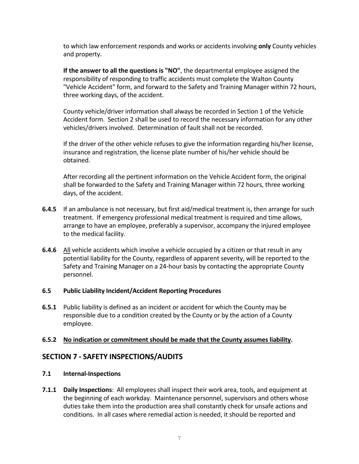to which law enforcement responds and works or accidents involving **only** County vehicles and property.

**If the answer to all the questions is "NO"**, the departmental employee assigned the responsibility of responding to traffic accidents must complete the Walton County "Vehicle Accident" form, and forward to the Safety and Training Manager within 72 hours, three working days, of the accident.

County vehicle/driver information shall always be recorded in Section 1 of the Vehicle Accident form. Section 2 shall be used to record the necessary information for any other vehicles/drivers involved. Determination of fault shall not be recorded.

If the driver of the other vehicle refuses to give the information regarding his/her license, insurance and registration, the license plate number of his/her vehicle should be obtained.

After recording all the pertinent information on the Vehicle Accident form, the original shall be forwarded to the Safety and Training Manager within 72 hours, three working days, of the accident.

- **6.4.5** If an ambulance is not necessary, but first aid/medical treatment is, then arrange for such treatment. If emergency professional medical treatment is required and time allows, arrange to have an employee, preferably a supervisor, accompany the injured employee to the medical facility.
- **6.4.6** All vehicle accidents which involve a vehicle occupied by a citizen or that result in any potential liability for the County, regardless of apparent severity, will be reported to the Safety and Training Manager on a 24-hour basis by contacting the appropriate County personnel.

#### **6.5 Public Liability Incident/Accident Reporting Procedures**

**6.5.1** Public liability is defined as an incident or accident for which the County may be responsible due to a condition created by the County or by the action of a County employee.

# **6.5.2 No indication or commitment should be made that the County assumes liability.**

# **SECTION 7 - SAFETY INSPECTIONS/AUDITS**

# **7.1 Internal-Inspections**

**7.1.1 Daily Inspections**: All employees shall inspect their work area, tools, and equipment at the beginning of each workday. Maintenance personnel, supervisors and others whose duties take them into the production area shall constantly check for unsafe actions and conditions. In all cases where remedial action is needed, it should be reported and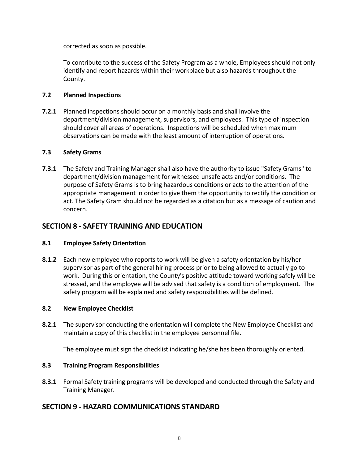corrected as soon as possible.

To contribute to the success of the Safety Program as a whole, Employees should not only identify and report hazards within their workplace but also hazards throughout the County.

# **7.2 Planned Inspections**

**7.2.1** Planned inspections should occur on a monthly basis and shall involve the department/division management, supervisors, and employees. This type of inspection should cover all areas of operations. Inspections will be scheduled when maximum observations can be made with the least amount of interruption of operations.

### **7.3 Safety Grams**

**7.3.1** The Safety and Training Manager shall also have the authority to issue "Safety Grams" to department/division management for witnessed unsafe acts and/or conditions. The purpose of Safety Grams is to bring hazardous conditions or acts to the attention of the appropriate management in order to give them the opportunity to rectify the condition or act. The Safety Gram should not be regarded as a citation but as a message of caution and concern.

# **SECTION 8 - SAFETY TRAINING AND EDUCATION**

# **8.1 Employee Safety Orientation**

**8.1.2** Each new employee who reports to work will be given a safety orientation by his/her supervisor as part of the general hiring process prior to being allowed to actually go to work. During this orientation, the County's positive attitude toward working safely will be stressed, and the employee will be advised that safety is a condition of employment. The safety program will be explained and safety responsibilities will be defined.

#### **8.2 New Employee Checklist**

**8.2.1** The supervisor conducting the orientation will complete the New Employee Checklist and maintain a copy of this checklist in the employee personnel file.

The employee must sign the checklist indicating he/she has been thoroughly oriented.

# **8.3 Training Program Responsibilities**

**8.3.1** Formal Safety training programs will be developed and conducted through the Safety and Training Manager.

# **SECTION 9 - HAZARD COMMUNICATIONS STANDARD**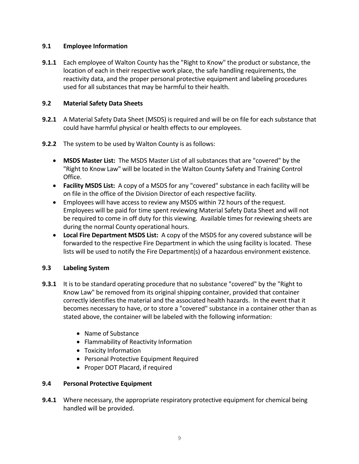# **9.1 Employee Information**

**9.1.1** Each employee of Walton County has the "Right to Know" the product or substance, the location of each in their respective work place, the safe handling requirements, the reactivity data, and the proper personal protective equipment and labeling procedures used for all substances that may be harmful to their health.

### **9.2 Material Safety Data Sheets**

- **9.2.1** A Material Safety Data Sheet (MSDS) is required and will be on file for each substance that could have harmful physical or health effects to our employees.
- **9.2.2** The system to be used by Walton County is as follows:
	- **MSDS Master List:** The MSDS Master List of all substances that are "covered" by the "Right to Know Law" will be located in the Walton County Safety and Training Control Office.
	- **Facility MSDS List:** A copy of a MSDS for any "covered" substance in each facility will be on file in the office of the Division Director of each respective facility.
	- Employees will have access to review any MSDS within 72 hours of the request. Employees will be paid for time spent reviewing Material Safety Data Sheet and will not be required to come in off duty for this viewing. Available times for reviewing sheets are during the normal County operational hours.
	- **Local Fire Department MSDS List:** A copy of the MSDS for any covered substance will be forwarded to the respective Fire Department in which the using facility is located. These lists will be used to notify the Fire Department(s) of a hazardous environment existence.

#### **9.3 Labeling System**

- **9.3.1** It is to be standard operating procedure that no substance "covered" by the "Right to Know Law" be removed from its original shipping container, provided that container correctly identifies the material and the associated health hazards. In the event that it becomes necessary to have, or to store a "covered" substance in a container other than as stated above, the container will be labeled with the following information:
	- Name of Substance
	- Flammability of Reactivity Information
	- Toxicity Information
	- Personal Protective Equipment Required
	- Proper DOT Placard, if required

#### **9.4 Personal Protective Equipment**

**9.4.1** Where necessary, the appropriate respiratory protective equipment for chemical being handled will be provided.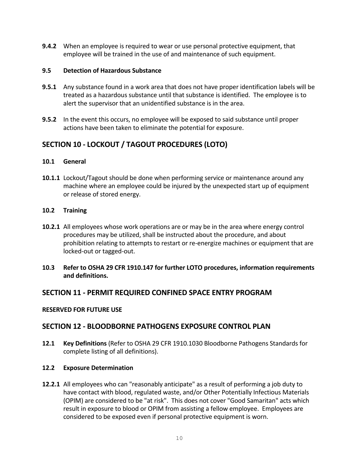**9.4.2** When an employee is required to wear or use personal protective equipment, that employee will be trained in the use of and maintenance of such equipment.

#### **9.5 Detection of Hazardous Substance**

- **9.5.1** Any substance found in a work area that does not have proper identification labels will be treated as a hazardous substance until that substance is identified. The employee is to alert the supervisor that an unidentified substance is in the area.
- **9.5.2** In the event this occurs, no employee will be exposed to said substance until proper actions have been taken to eliminate the potential for exposure.

# **SECTION 10 - LOCKOUT / TAGOUT PROCEDURES (LOTO)**

#### **10.1 General**

**10.1.1** Lockout/Tagout should be done when performing service or maintenance around any machine where an employee could be injured by the unexpected start up of equipment or release of stored energy.

#### **10.2 Training**

- **10.2.1** All employees whose work operations are or may be in the area where energy control procedures may be utilized, shall be instructed about the procedure, and about prohibition relating to attempts to restart or re-energize machines or equipment that are locked-out or tagged-out.
- **10.3 Refer to OSHA 29 CFR 1910.147 for further LOTO procedures, information requirements and definitions.**

# **SECTION 11 - PERMIT REQUIRED CONFINED SPACE ENTRY PROGRAM**

#### **RESERVED FOR FUTURE USE**

# **SECTION 12 - BLOODBORNE PATHOGENS EXPOSURE CONTROL PLAN**

**12.1 Key Definitions** (Refer to OSHA 29 CFR 1910.1030 Bloodborne Pathogens Standards for complete listing of all definitions).

# **12.2 Exposure Determination**

**12.2.1** All employees who can "reasonably anticipate" as a result of performing a job duty to have contact with blood, regulated waste, and/or Other Potentially Infectious Materials (OPIM) are considered to be "at risk". This does not cover "Good Samaritan" acts which result in exposure to blood or OPIM from assisting a fellow employee. Employees are considered to be exposed even if personal protective equipment is worn.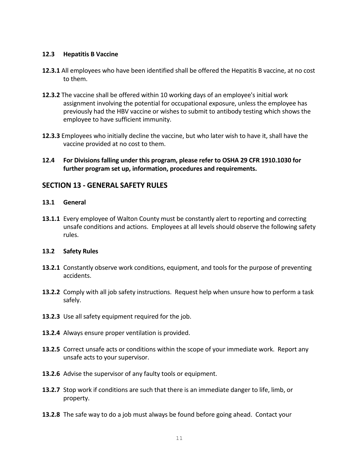#### **12.3 Hepatitis B Vaccine**

- **12.3.1** All employees who have been identified shall be offered the Hepatitis B vaccine, at no cost to them.
- **12.3.2** The vaccine shall be offered within 10 working days of an employee's initial work assignment involving the potential for occupational exposure, unless the employee has previously had the HBV vaccine or wishes to submit to antibody testing which shows the employee to have sufficient immunity.
- **12.3.3** Employees who initially decline the vaccine, but who later wish to have it, shall have the vaccine provided at no cost to them.
- **12.4 For Divisions falling under this program, please refer to OSHA 29 CFR 1910.1030 for further program set up, information, procedures and requirements.**

### **SECTION 13 - GENERAL SAFETY RULES**

#### **13.1 General**

13.1.1 Every employee of Walton County must be constantly alert to reporting and correcting unsafe conditions and actions. Employees at all levels should observe the following safety rules.

#### **13.2 Safety Rules**

- **13.2.1** Constantly observe work conditions, equipment, and tools for the purpose of preventing accidents.
- **13.2.2** Comply with all job safety instructions. Request help when unsure how to perform a task safely.
- **13.2.3** Use all safety equipment required for the job.
- **13.2.4** Always ensure proper ventilation is provided.
- **13.2.5** Correct unsafe acts or conditions within the scope of your immediate work. Report any unsafe acts to your supervisor.
- **13.2.6** Advise the supervisor of any faulty tools or equipment.
- **13.2.7** Stop work if conditions are such that there is an immediate danger to life, limb, or property.
- **13.2.8** The safe way to do a job must always be found before going ahead. Contact your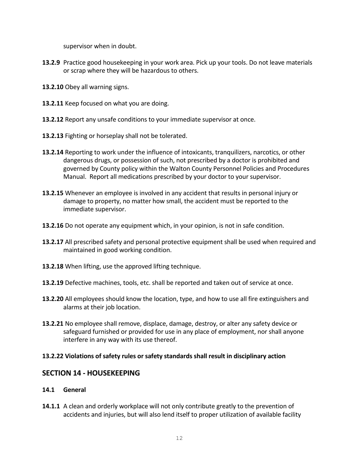supervisor when in doubt.

- **13.2.9** Practice good housekeeping in your work area. Pick up your tools. Do not leave materials or scrap where they will be hazardous to others.
- **13.2.10** Obey all warning signs.
- **13.2.11** Keep focused on what you are doing.
- **13.2.12** Report any unsafe conditions to your immediate supervisor at once.
- **13.2.13** Fighting or horseplay shall not be tolerated.
- **13.2.14** Reporting to work under the influence of intoxicants, tranquilizers, narcotics, or other dangerous drugs, or possession of such, not prescribed by a doctor is prohibited and governed by County policy within the Walton County Personnel Policies and Procedures Manual. Report all medications prescribed by your doctor to your supervisor.
- **13.2.15** Whenever an employee is involved in any accident that results in personal injury or damage to property, no matter how small, the accident must be reported to the immediate supervisor.
- **13.2.16** Do not operate any equipment which, in your opinion, is not in safe condition.
- **13.2.17** All prescribed safety and personal protective equipment shall be used when required and maintained in good working condition.
- **13.2.18** When lifting, use the approved lifting technique.
- **13.2.19** Defective machines, tools, etc. shall be reported and taken out of service at once.
- **13.2.20** All employees should know the location, type, and how to use all fire extinguishers and alarms at their job location.
- **13.2.21** No employee shall remove, displace, damage, destroy, or alter any safety device or safeguard furnished or provided for use in any place of employment, nor shall anyone interfere in any way with its use thereof.

#### **13.2.22 Violations of safety rules or safety standards shall result in disciplinary action**

# **SECTION 14 - HOUSEKEEPING**

#### **14.1 General**

**14.1.1** A clean and orderly workplace will not only contribute greatly to the prevention of accidents and injuries, but will also lend itself to proper utilization of available facility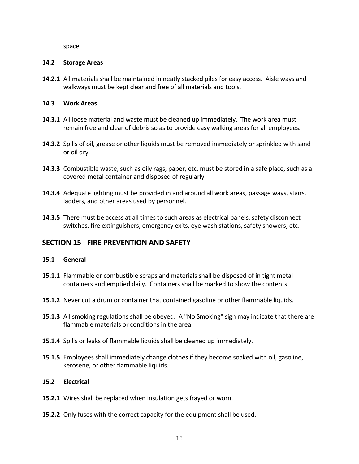space.

#### **14.2 Storage Areas**

**14.2.1** All materials shall be maintained in neatly stacked piles for easy access. Aisle ways and walkways must be kept clear and free of all materials and tools.

### **14.3 Work Areas**

- **14.3.1** All loose material and waste must be cleaned up immediately. The work area must remain free and clear of debris so as to provide easy walking areas for all employees.
- **14.3.2** Spills of oil, grease or other liquids must be removed immediately or sprinkled with sand or oil dry.
- **14.3.3** Combustible waste, such as oily rags, paper, etc. must be stored in a safe place, such as a covered metal container and disposed of regularly.
- **14.3.4** Adequate lighting must be provided in and around all work areas, passage ways, stairs, ladders, and other areas used by personnel.
- **14.3.5** There must be access at all times to such areas as electrical panels, safety disconnect switches, fire extinguishers, emergency exits, eye wash stations, safety showers, etc.

# **SECTION 15 - FIRE PREVENTION AND SAFETY**

#### **15.1 General**

- **15.1.1** Flammable or combustible scraps and materials shall be disposed of in tight metal containers and emptied daily. Containers shall be marked to show the contents.
- **15.1.2** Never cut a drum or container that contained gasoline or other flammable liquids.
- **15.1.3** All smoking regulations shall be obeyed. A "No Smoking" sign may indicate that there are flammable materials or conditions in the area.
- **15.1.4** Spills or leaks of flammable liquids shall be cleaned up immediately.
- **15.1.5** Employees shall immediately change clothes if they become soaked with oil, gasoline, kerosene, or other flammable liquids.

# **15.2 Electrical**

- **15.2.1** Wires shall be replaced when insulation gets frayed or worn.
- **15.2.2** Only fuses with the correct capacity for the equipment shall be used.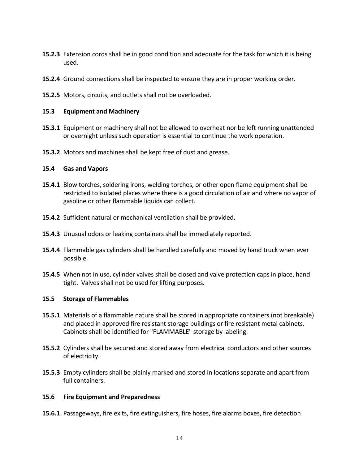- **15.2.3** Extension cords shall be in good condition and adequate for the task for which it is being used.
- **15.2.4** Ground connections shall be inspected to ensure they are in proper working order.
- **15.2.5** Motors, circuits, and outlets shall not be overloaded.

#### **15.3 Equipment and Machinery**

- **15.3.1** Equipment or machinery shall not be allowed to overheat nor be left running unattended or overnight unless such operation is essential to continue the work operation.
- **15.3.2** Motors and machines shall be kept free of dust and grease.

#### **15.4 Gas and Vapors**

- **15.4.1** Blow torches, soldering irons, welding torches, or other open flame equipment shall be restricted to isolated places where there is a good circulation of air and where no vapor of gasoline or other flammable liquids can collect.
- **15.4.2** Sufficient natural or mechanical ventilation shall be provided.
- **15.4.3** Unusual odors or leaking containers shall be immediately reported.
- **15.4.4** Flammable gas cylinders shall be handled carefully and moved by hand truck when ever possible.
- **15.4.5** When not in use, cylinder valves shall be closed and valve protection caps in place, hand tight. Valves shall not be used for lifting purposes.

#### **15.5 Storage of Flammables**

- **15.5.1** Materials of a flammable nature shall be stored in appropriate containers (not breakable) and placed in approved fire resistant storage buildings or fire resistant metal cabinets. Cabinets shall be identified for "FLAMMABLE" storage by labeling.
- **15.5.2** Cylinders shall be secured and stored away from electrical conductors and other sources of electricity.
- **15.5.3** Empty cylinders shall be plainly marked and stored in locations separate and apart from full containers.

#### **15.6 Fire Equipment and Preparedness**

**15.6.1** Passageways, fire exits, fire extinguishers, fire hoses, fire alarms boxes, fire detection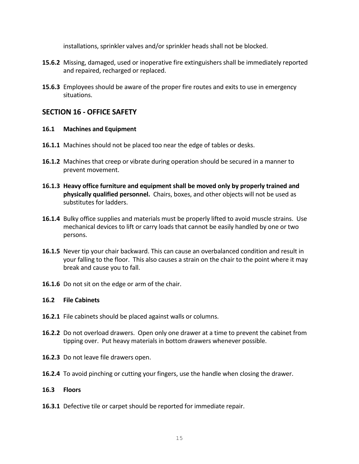installations, sprinkler valves and/or sprinkler heads shall not be blocked.

- **15.6.2** Missing, damaged, used or inoperative fire extinguishers shall be immediately reported and repaired, recharged or replaced.
- **15.6.3** Employees should be aware of the proper fire routes and exits to use in emergency situations.

# **SECTION 16 - OFFICE SAFETY**

#### **16.1 Machines and Equipment**

- **16.1.1** Machines should not be placed too near the edge of tables or desks.
- **16.1.2** Machines that creep or vibrate during operation should be secured in a manner to prevent movement.
- **16.1.3 Heavy office furniture and equipment shall be moved only by properly trained and physically qualified personnel.** Chairs, boxes, and other objects will not be used as substitutes for ladders.
- **16.1.4** Bulky office supplies and materials must be properly lifted to avoid muscle strains. Use mechanical devices to lift or carry loads that cannot be easily handled by one or two persons.
- **16.1.5** Never tip your chair backward. This can cause an overbalanced condition and result in your falling to the floor. This also causes a strain on the chair to the point where it may break and cause you to fall.
- **16.1.6** Do not sit on the edge or arm of the chair.

#### **16.2 File Cabinets**

- **16.2.1** File cabinets should be placed against walls or columns.
- **16.2.2** Do not overload drawers. Open only one drawer at a time to prevent the cabinet from tipping over. Put heavy materials in bottom drawers whenever possible.
- **16.2.3** Do not leave file drawers open.
- **16.2.4** To avoid pinching or cutting your fingers, use the handle when closing the drawer.

#### **16.3 Floors**

**16.3.1** Defective tile or carpet should be reported for immediate repair.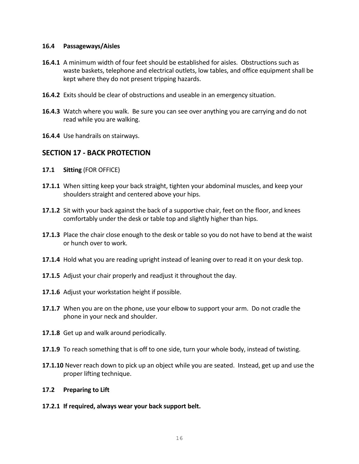#### **16.4 Passageways/Aisles**

- **16.4.1** A minimum width of four feet should be established for aisles. Obstructions such as waste baskets, telephone and electrical outlets, low tables, and office equipment shall be kept where they do not present tripping hazards.
- **16.4.2** Exits should be clear of obstructions and useable in an emergency situation.
- **16.4.3** Watch where you walk. Be sure you can see over anything you are carrying and do not read while you are walking.
- **16.4.4** Use handrails on stairways.

# **SECTION 17 - BACK PROTECTION**

- **17.1 Sitting** (FOR OFFICE)
- **17.1.1** When sitting keep your back straight, tighten your abdominal muscles, and keep your shoulders straight and centered above your hips.
- **17.1.2** Sit with your back against the back of a supportive chair, feet on the floor, and knees comfortably under the desk or table top and slightly higher than hips.
- **17.1.3** Place the chair close enough to the desk or table so you do not have to bend at the waist or hunch over to work.
- **17.1.4** Hold what you are reading upright instead of leaning over to read it on your desk top.
- **17.1.5** Adjust your chair properly and readjust it throughout the day.
- **17.1.6** Adjust your workstation height if possible.
- **17.1.7** When you are on the phone, use your elbow to support your arm. Do not cradle the phone in your neck and shoulder.
- **17.1.8** Get up and walk around periodically.
- **17.1.9** To reach something that is off to one side, turn your whole body, instead of twisting.
- **17.1.10** Never reach down to pick up an object while you are seated. Instead, get up and use the proper lifting technique.

#### **17.2 Preparing to Lift**

**17.2.1 If required, always wear your back support belt.**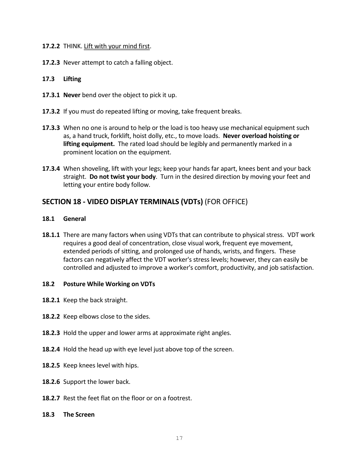#### **17.2.2** THINK. Lift with your mind first.

**17.2.3** Never attempt to catch a falling object.

# **17.3 Lifting**

- **17.3.1 Never** bend over the object to pick it up.
- **17.3.2** If you must do repeated lifting or moving, take frequent breaks.
- **17.3.3** When no one is around to help or the load is too heavy use mechanical equipment such as, a hand truck, forklift, hoist dolly, etc., to move loads. **Never overload hoisting or lifting equipment.** The rated load should be legibly and permanently marked in a prominent location on the equipment.
- **17.3.4** When shoveling, lift with your legs; keep your hands far apart, knees bent and your back straight. **Do not twist your body**. Turn in the desired direction by moving your feet and letting your entire body follow.

# **SECTION 18 - VIDEO DISPLAY TERMINALS (VDTs)** (FOR OFFICE)

#### **18.1 General**

**18.1.1** There are many factors when using VDTs that can contribute to physical stress. VDT work requires a good deal of concentration, close visual work, frequent eye movement, extended periods of sitting, and prolonged use of hands, wrists, and fingers. These factors can negatively affect the VDT worker's stress levels; however, they can easily be controlled and adjusted to improve a worker's comfort, productivity, and job satisfaction.

#### **18.2 Posture While Working on VDTs**

- **18.2.1** Keep the back straight.
- **18.2.2** Keep elbows close to the sides.
- **18.2.3** Hold the upper and lower arms at approximate right angles.
- **18.2.4** Hold the head up with eye level just above top of the screen.
- **18.2.5** Keep knees level with hips.
- **18.2.6** Support the lower back.
- **18.2.7** Rest the feet flat on the floor or on a footrest.
- **18.3 The Screen**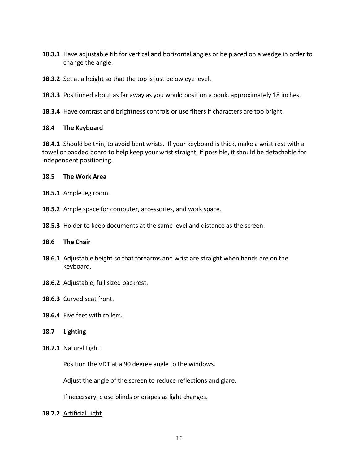- **18.3.1** Have adjustable tilt for vertical and horizontal angles or be placed on a wedge in order to change the angle.
- **18.3.2** Set at a height so that the top is just below eye level.
- **18.3.3** Positioned about as far away as you would position a book, approximately 18 inches.
- **18.3.4** Have contrast and brightness controls or use filters if characters are too bright.

#### **18.4 The Keyboard**

**18.4.1** Should be thin, to avoid bent wrists. If your keyboard is thick, make a wrist rest with a towel or padded board to help keep your wrist straight. If possible, it should be detachable for independent positioning.

#### **18.5 The Work Area**

- **18.5.1** Ample leg room.
- **18.5.2** Ample space for computer, accessories, and work space.
- **18.5.3** Holder to keep documents at the same level and distance as the screen.

#### **18.6 The Chair**

- **18.6.1** Adjustable height so that forearms and wrist are straight when hands are on the keyboard.
- **18.6.2** Adjustable, full sized backrest.
- **18.6.3** Curved seat front.
- **18.6.4** Five feet with rollers.

#### **18.7 Lighting**

**18.7.1** Natural Light

Position the VDT at a 90 degree angle to the windows.

Adjust the angle of the screen to reduce reflections and glare.

If necessary, close blinds or drapes as light changes.

**18.7.2** Artificial Light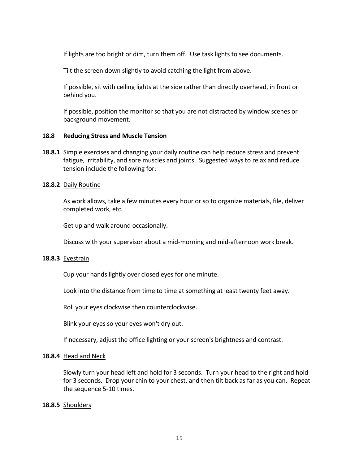If lights are too bright or dim, turn them off. Use task lights to see documents.

Tilt the screen down slightly to avoid catching the light from above.

If possible, sit with ceiling lights at the side rather than directly overhead, in front or behind you.

If possible, position the monitor so that you are not distracted by window scenes or background movement.

#### **18.8 Reducing Stress and Muscle Tension**

**18.8.1** Simple exercises and changing your daily routine can help reduce stress and prevent fatigue, irritability, and sore muscles and joints. Suggested ways to relax and reduce tension include the following for:

#### **18.8.2** Daily Routine

As work allows, take a few minutes every hour or so to organize materials, file, deliver completed work, etc.

Get up and walk around occasionally.

Discuss with your supervisor about a mid-morning and mid-afternoon work break.

#### **18.8.3** Eyestrain

Cup your hands lightly over closed eyes for one minute.

Look into the distance from time to time at something at least twenty feet away.

Roll your eyes clockwise then counterclockwise.

Blink your eyes so your eyes won't dry out.

If necessary, adjust the office lighting or your screen's brightness and contrast.

#### **18.8.4** Head and Neck

Slowly turn your head left and hold for 3 seconds. Turn your head to the right and hold for 3 seconds. Drop your chin to your chest, and then tilt back as far as you can. Repeat the sequence 5-10 times.

#### **18.8.5** Shoulders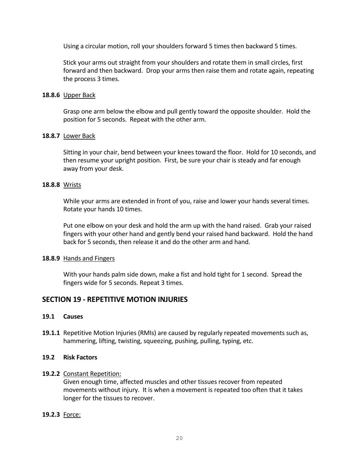Using a circular motion, roll your shoulders forward 5 times then backward 5 times.

Stick your arms out straight from your shoulders and rotate them in small circles, first forward and then backward. Drop your arms then raise them and rotate again, repeating the process 3 times.

#### **18.8.6** Upper Back

Grasp one arm below the elbow and pull gently toward the opposite shoulder. Hold the position for 5 seconds. Repeat with the other arm.

#### **18.8.7** Lower Back

Sitting in your chair, bend between your knees toward the floor. Hold for 10 seconds, and then resume your upright position. First, be sure your chair is steady and far enough away from your desk.

#### **18.8.8** Wrists

While your arms are extended in front of you, raise and lower your hands several times. Rotate your hands 10 times.

Put one elbow on your desk and hold the arm up with the hand raised. Grab your raised fingers with your other hand and gently bend your raised hand backward. Hold the hand back for 5 seconds, then release it and do the other arm and hand.

#### **18.8.9** Hands and Fingers

With your hands palm side down, make a fist and hold tight for 1 second. Spread the fingers wide for 5 seconds. Repeat 3 times.

# **SECTION 19 - REPETITIVE MOTION INJURIES**

#### **19.1 Causes**

**19.1.1** Repetitive Motion Injuries (RMIs) are caused by regularly repeated movements such as, hammering, lifting, twisting, squeezing, pushing, pulling, typing, etc.

#### **19.2 Risk Factors**

#### **19.2.2** Constant Repetition:

Given enough time, affected muscles and other tissues recover from repeated movements without injury. It is when a movement is repeated too often that it takes longer for the tissues to recover.

#### **19.2.3** Force: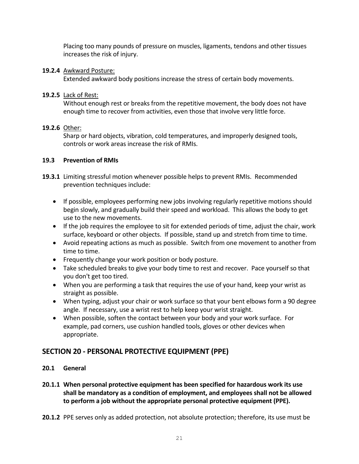Placing too many pounds of pressure on muscles, ligaments, tendons and other tissues increases the risk of injury.

# **19.2.4** Awkward Posture:

Extended awkward body positions increase the stress of certain body movements.

# **19.2.5** Lack of Rest:

Without enough rest or breaks from the repetitive movement, the body does not have enough time to recover from activities, even those that involve very little force.

# **19.2.6** Other:

Sharp or hard objects, vibration, cold temperatures, and improperly designed tools, controls or work areas increase the risk of RMIs.

### **19.3 Prevention of RMIs**

- **19.3.1** Limiting stressful motion whenever possible helps to prevent RMIs. Recommended prevention techniques include:
	- If possible, employees performing new jobs involving regularly repetitive motions should begin slowly, and gradually build their speed and workload. This allows the body to get use to the new movements.
	- If the job requires the employee to sit for extended periods of time, adjust the chair, work surface, keyboard or other objects. If possible, stand up and stretch from time to time.
	- Avoid repeating actions as much as possible. Switch from one movement to another from time to time.
	- Frequently change your work position or body posture.
	- Take scheduled breaks to give your body time to rest and recover. Pace yourself so that you don't get too tired.
	- When you are performing a task that requires the use of your hand, keep your wrist as straight as possible.
	- When typing, adjust your chair or work surface so that your bent elbows form a 90 degree angle. If necessary, use a wrist rest to help keep your wrist straight.
	- When possible, soften the contact between your body and your work surface. For example, pad corners, use cushion handled tools, gloves or other devices when appropriate.

# **SECTION 20 - PERSONAL PROTECTIVE EQUIPMENT (PPE)**

# **20.1 General**

- **20.1.1 When personal protective equipment has been specified for hazardous work its use shall be mandatory as a condition of employment, and employees shall not be allowed to perform a job without the appropriate personal protective equipment (PPE).**
- **20.1.2** PPE serves only as added protection, not absolute protection; therefore, its use must be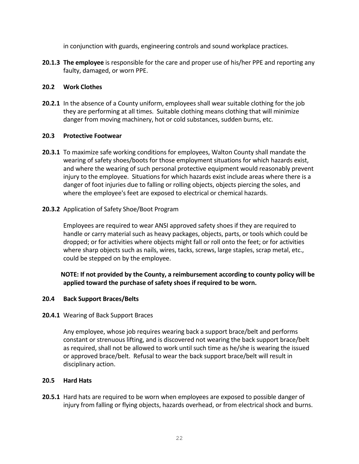in conjunction with guards, engineering controls and sound workplace practices.

**20.1.3 The employee** is responsible for the care and proper use of his/her PPE and reporting any faulty, damaged, or worn PPE.

# **20.2 Work Clothes**

**20.2.1** In the absence of a County uniform, employees shall wear suitable clothing for the job they are performing at all times. Suitable clothing means clothing that will minimize danger from moving machinery, hot or cold substances, sudden burns, etc.

### **20.3 Protective Footwear**

**20.3.1** To maximize safe working conditions for employees, Walton County shall mandate the wearing of safety shoes/boots for those employment situations for which hazards exist, and where the wearing of such personal protective equipment would reasonably prevent injury to the employee. Situations for which hazards exist include areas where there is a danger of foot injuries due to falling or rolling objects, objects piercing the soles, and where the employee's feet are exposed to electrical or chemical hazards.

### **20.3.2** Application of Safety Shoe/Boot Program

Employees are required to wear ANSI approved safety shoes if they are required to handle or carry material such as heavy packages, objects, parts, or tools which could be dropped; or for activities where objects might fall or roll onto the feet; or for activities where sharp objects such as nails, wires, tacks, screws, large staples, scrap metal, etc., could be stepped on by the employee.

# **NOTE: If not provided by the County, a reimbursement according to county policy will be applied toward the purchase of safety shoes if required to be worn.**

#### **20.4 Back Support Braces/Belts**

#### **20.4.1** Wearing of Back Support Braces

Any employee, whose job requires wearing back a support brace/belt and performs constant or strenuous lifting, and is discovered not wearing the back support brace/belt as required, shall not be allowed to work until such time as he/she is wearing the issued or approved brace/belt. Refusal to wear the back support brace/belt will result in disciplinary action.

#### **20.5 Hard Hats**

**20.5.1** Hard hats are required to be worn when employees are exposed to possible danger of injury from falling or flying objects, hazards overhead, or from electrical shock and burns.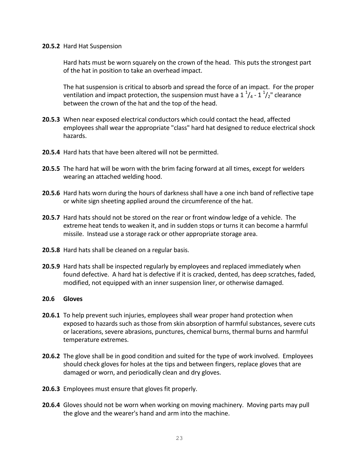#### **20.5.2** Hard Hat Suspension

Hard hats must be worn squarely on the crown of the head. This puts the strongest part of the hat in position to take an overhead impact.

The hat suspension is critical to absorb and spread the force of an impact. For the proper ventilation and impact protection, the suspension must have a 1  $\frac{1}{4}$ -1  $\frac{1}{2}$ " clearance between the crown of the hat and the top of the head.

- **20.5.3** When near exposed electrical conductors which could contact the head, affected employees shall wear the appropriate "class" hard hat designed to reduce electrical shock hazards.
- **20.5.4** Hard hats that have been altered will not be permitted.
- **20.5.5** The hard hat will be worn with the brim facing forward at all times, except for welders wearing an attached welding hood.
- **20.5.6** Hard hats worn during the hours of darkness shall have a one inch band of reflective tape or white sign sheeting applied around the circumference of the hat.
- **20.5.7** Hard hats should not be stored on the rear or front window ledge of a vehicle. The extreme heat tends to weaken it, and in sudden stops or turns it can become a harmful missile. Instead use a storage rack or other appropriate storage area.
- **20.5.8** Hard hats shall be cleaned on a regular basis.
- **20.5.9** Hard hats shall be inspected regularly by employees and replaced immediately when found defective. A hard hat is defective if it is cracked, dented, has deep scratches, faded, modified, not equipped with an inner suspension liner, or otherwise damaged.

#### **20.6 Gloves**

- **20.6.1** To help prevent such injuries, employees shall wear proper hand protection when exposed to hazards such as those from skin absorption of harmful substances, severe cuts or lacerations, severe abrasions, punctures, chemical burns, thermal burns and harmful temperature extremes.
- **20.6.2** The glove shall be in good condition and suited for the type of work involved. Employees should check gloves for holes at the tips and between fingers, replace gloves that are damaged or worn, and periodically clean and dry gloves.
- **20.6.3** Employees must ensure that gloves fit properly.
- **20.6.4** Gloves should not be worn when working on moving machinery. Moving parts may pull the glove and the wearer's hand and arm into the machine.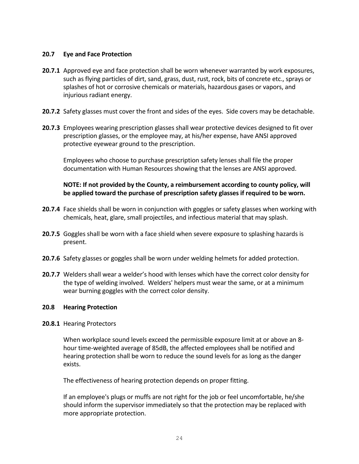#### **20.7 Eye and Face Protection**

- **20.7.1** Approved eye and face protection shall be worn whenever warranted by work exposures, such as flying particles of dirt, sand, grass, dust, rust, rock, bits of concrete etc., sprays or splashes of hot or corrosive chemicals or materials, hazardous gases or vapors, and injurious radiant energy.
- **20.7.2** Safety glasses must cover the front and sides of the eyes. Side covers may be detachable.
- **20.7.3** Employees wearing prescription glasses shall wear protective devices designed to fit over prescription glasses, or the employee may, at his/her expense, have ANSI approved protective eyewear ground to the prescription.

Employees who choose to purchase prescription safety lenses shall file the proper documentation with Human Resources showing that the lenses are ANSI approved.

#### **NOTE: If not provided by the County, a reimbursement according to county policy, will be applied toward the purchase of prescription safety glasses if required to be worn.**

- **20.7.4** Face shields shall be worn in conjunction with goggles or safety glasses when working with chemicals, heat, glare, small projectiles, and infectious material that may splash.
- **20.7.5** Goggles shall be worn with a face shield when severe exposure to splashing hazards is present.
- **20.7.6** Safety glasses or goggles shall be worn under welding helmets for added protection.
- **20.7.7** Welders shall wear a welder's hood with lenses which have the correct color density for the type of welding involved. Welders' helpers must wear the same, or at a minimum wear burning goggles with the correct color density.

#### **20.8 Hearing Protection**

#### **20.8.1** Hearing Protectors

When workplace sound levels exceed the permissible exposure limit at or above an 8 hour time-weighted average of 85dB, the affected employees shall be notified and hearing protection shall be worn to reduce the sound levels for as long as the danger exists.

The effectiveness of hearing protection depends on proper fitting.

If an employee's plugs or muffs are not right for the job or feel uncomfortable, he/she should inform the supervisor immediately so that the protection may be replaced with more appropriate protection.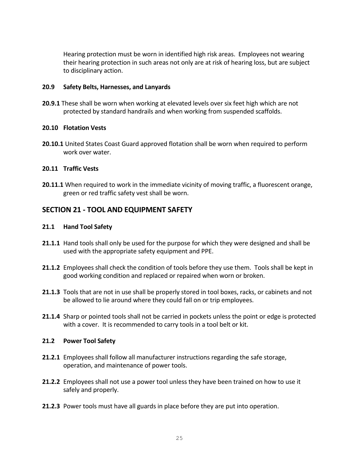Hearing protection must be worn in identified high risk areas. Employees not wearing their hearing protection in such areas not only are at risk of hearing loss, but are subject to disciplinary action.

#### **20.9 Safety Belts, Harnesses, and Lanyards**

**20.9.1** These shall be worn when working at elevated levels over six feet high which are not protected by standard handrails and when working from suspended scaffolds.

### **20.10 Flotation Vests**

**20.10.1** United States Coast Guard approved flotation shall be worn when required to perform work over water.

# **20.11 Traffic Vests**

**20.11.1** When required to work in the immediate vicinity of moving traffic, a fluorescent orange, green or red traffic safety vest shall be worn.

# **SECTION 21 - TOOL AND EQUIPMENT SAFETY**

### **21.1 Hand Tool Safety**

- **21.1.1** Hand tools shall only be used for the purpose for which they were designed and shall be used with the appropriate safety equipment and PPE.
- **21.1.2** Employees shall check the condition of tools before they use them. Tools shall be kept in good working condition and replaced or repaired when worn or broken.
- **21.1.3** Tools that are not in use shall be properly stored in tool boxes, racks, or cabinets and not be allowed to lie around where they could fall on or trip employees.
- **21.1.4** Sharp or pointed tools shall not be carried in pockets unless the point or edge is protected with a cover. It is recommended to carry tools in a tool belt or kit.

#### **21.2 Power Tool Safety**

- **21.2.1** Employees shall follow all manufacturer instructions regarding the safe storage, operation, and maintenance of power tools.
- **21.2.2** Employees shall not use a power tool unless they have been trained on how to use it safely and properly.
- **21.2.3** Power tools must have all guards in place before they are put into operation.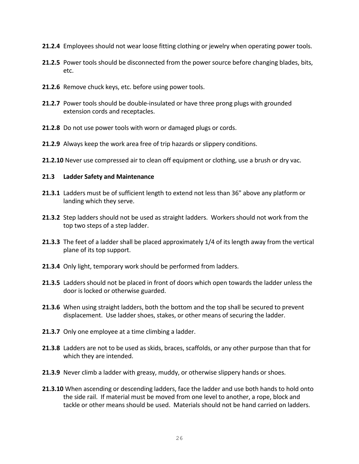- **21.2.4** Employees should not wear loose fitting clothing or jewelry when operating power tools.
- **21.2.5** Power tools should be disconnected from the power source before changing blades, bits, etc.
- **21.2.6** Remove chuck keys, etc. before using power tools.
- **21.2.7** Power tools should be double-insulated or have three prong plugs with grounded extension cords and receptacles.
- **21.2.8** Do not use power tools with worn or damaged plugs or cords.
- **21.2.9** Always keep the work area free of trip hazards or slippery conditions.
- **21.2.10** Never use compressed air to clean off equipment or clothing, use a brush or dry vac.

### **21.3 Ladder Safety and Maintenance**

- **21.3.1** Ladders must be of sufficient length to extend not less than 36" above any platform or landing which they serve.
- **21.3.2** Step ladders should not be used as straight ladders. Workers should not work from the top two steps of a step ladder.
- **21.3.3** The feet of a ladder shall be placed approximately 1/4 of its length away from the vertical plane of its top support.
- **21.3.4** Only light, temporary work should be performed from ladders.
- **21.3.5** Ladders should not be placed in front of doors which open towards the ladder unless the door is locked or otherwise guarded.
- **21.3.6** When using straight ladders, both the bottom and the top shall be secured to prevent displacement. Use ladder shoes, stakes, or other means of securing the ladder.
- 21.3.7 Only one employee at a time climbing a ladder.
- **21.3.8** Ladders are not to be used as skids, braces, scaffolds, or any other purpose than that for which they are intended.
- **21.3.9** Never climb a ladder with greasy, muddy, or otherwise slippery hands or shoes.
- **21.3.10** When ascending or descending ladders, face the ladder and use both hands to hold onto the side rail. If material must be moved from one level to another, a rope, block and tackle or other means should be used. Materials should not be hand carried on ladders.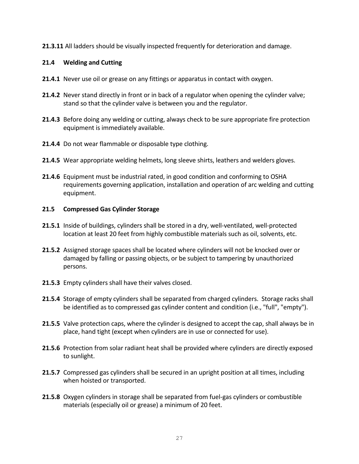**21.3.11** All ladders should be visually inspected frequently for deterioration and damage.

### **21.4 Welding and Cutting**

- **21.4.1** Never use oil or grease on any fittings or apparatus in contact with oxygen.
- **21.4.2** Never stand directly in front or in back of a regulator when opening the cylinder valve; stand so that the cylinder valve is between you and the regulator.
- **21.4.3** Before doing any welding or cutting, always check to be sure appropriate fire protection equipment is immediately available.
- **21.4.4** Do not wear flammable or disposable type clothing.
- **21.4.5** Wear appropriate welding helmets, long sleeve shirts, leathers and welders gloves.
- **21.4.6** Equipment must be industrial rated, in good condition and conforming to OSHA requirements governing application, installation and operation of arc welding and cutting equipment.

#### **21.5 Compressed Gas Cylinder Storage**

- **21.5.1** Inside of buildings, cylinders shall be stored in a dry, well-ventilated, well-protected location at least 20 feet from highly combustible materials such as oil, solvents, etc.
- **21.5.2** Assigned storage spaces shall be located where cylinders will not be knocked over or damaged by falling or passing objects, or be subject to tampering by unauthorized persons.
- **21.5.3** Empty cylinders shall have their valves closed.
- **21.5.4** Storage of empty cylinders shall be separated from charged cylinders. Storage racks shall be identified as to compressed gas cylinder content and condition (i.e., "full", "empty").
- **21.5.5** Valve protection caps, where the cylinder is designed to accept the cap, shall always be in place, hand tight (except when cylinders are in use or connected for use).
- **21.5.6** Protection from solar radiant heat shall be provided where cylinders are directly exposed to sunlight.
- **21.5.7** Compressed gas cylinders shall be secured in an upright position at all times, including when hoisted or transported.
- **21.5.8** Oxygen cylinders in storage shall be separated from fuel-gas cylinders or combustible materials (especially oil or grease) a minimum of 20 feet.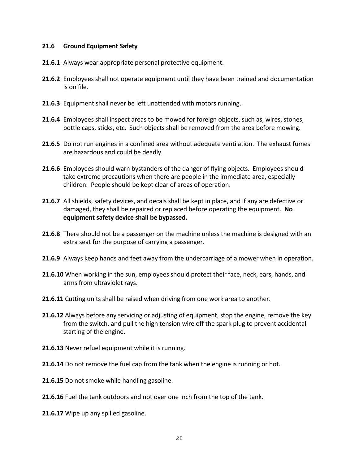#### **21.6 Ground Equipment Safety**

- **21.6.1** Always wear appropriate personal protective equipment.
- **21.6.2** Employees shall not operate equipment until they have been trained and documentation is on file.
- **21.6.3** Equipment shall never be left unattended with motors running.
- **21.6.4** Employees shall inspect areas to be mowed for foreign objects, such as, wires, stones, bottle caps, sticks, etc. Such objects shall be removed from the area before mowing.
- **21.6.5** Do not run engines in a confined area without adequate ventilation. The exhaust fumes are hazardous and could be deadly.
- **21.6.6** Employees should warn bystanders of the danger of flying objects. Employees should take extreme precautions when there are people in the immediate area, especially children. People should be kept clear of areas of operation.
- **21.6.7** All shields, safety devices, and decals shall be kept in place, and if any are defective or damaged, they shall be repaired or replaced before operating the equipment. **No equipment safety device shall be bypassed.**
- **21.6.8** There should not be a passenger on the machine unless the machine is designed with an extra seat for the purpose of carrying a passenger.
- **21.6.9** Always keep hands and feet away from the undercarriage of a mower when in operation.
- **21.6.10** When working in the sun, employees should protect their face, neck, ears, hands, and arms from ultraviolet rays.
- **21.6.11** Cutting units shall be raised when driving from one work area to another.
- **21.6.12** Always before any servicing or adjusting of equipment, stop the engine, remove the key from the switch, and pull the high tension wire off the spark plug to prevent accidental starting of the engine.
- **21.6.13** Never refuel equipment while it is running.
- **21.6.14** Do not remove the fuel cap from the tank when the engine is running or hot.
- **21.6.15** Do not smoke while handling gasoline.
- **21.6.16** Fuel the tank outdoors and not over one inch from the top of the tank.
- **21.6.17** Wipe up any spilled gasoline.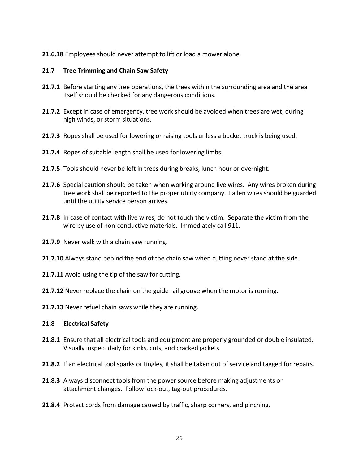#### **21.6.18** Employees should never attempt to lift or load a mower alone.

#### **21.7 Tree Trimming and Chain Saw Safety**

- **21.7.1** Before starting any tree operations, the trees within the surrounding area and the area itself should be checked for any dangerous conditions.
- **21.7.2** Except in case of emergency, tree work should be avoided when trees are wet, during high winds, or storm situations.
- **21.7.3** Ropes shall be used for lowering or raising tools unless a bucket truck is being used.
- **21.7.4** Ropes of suitable length shall be used for lowering limbs.
- **21.7.5** Tools should never be left in trees during breaks, lunch hour or overnight.
- **21.7.6** Special caution should be taken when working around live wires. Any wires broken during tree work shall be reported to the proper utility company. Fallen wires should be guarded until the utility service person arrives.
- **21.7.8** In case of contact with live wires, do not touch the victim. Separate the victim from the wire by use of non-conductive materials. Immediately call 911.
- **21.7.9** Never walk with a chain saw running.
- **21.7.10** Always stand behind the end of the chain saw when cutting never stand at the side.
- **21.7.11** Avoid using the tip of the saw for cutting.
- **21.7.12** Never replace the chain on the guide rail groove when the motor is running.
- **21.7.13** Never refuel chain saws while they are running.

#### **21.8 Electrical Safety**

- **21.8.1** Ensure that all electrical tools and equipment are properly grounded or double insulated. Visually inspect daily for kinks, cuts, and cracked jackets.
- **21.8.2** If an electrical tool sparks or tingles, it shall be taken out of service and tagged for repairs.
- **21.8.3** Always disconnect tools from the power source before making adjustments or attachment changes. Follow lock-out, tag-out procedures.
- **21.8.4** Protect cords from damage caused by traffic, sharp corners, and pinching.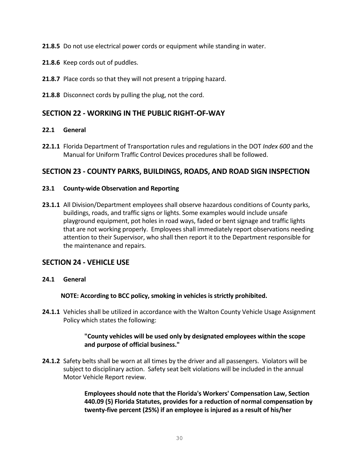**21.8.5** Do not use electrical power cords or equipment while standing in water.

- **21.8.6** Keep cords out of puddles.
- **21.8.7** Place cords so that they will not present a tripping hazard.
- **21.8.8** Disconnect cords by pulling the plug, not the cord.

# **SECTION 22 - WORKING IN THE PUBLIC RIGHT-OF-WAY**

### **22.1 General**

**22.1.1** Florida Department of Transportation rules and regulations in the DOT *Index 600* and the Manual for Uniform Traffic Control Devices procedures shall be followed.

# **SECTION 23 - COUNTY PARKS, BUILDINGS, ROADS, AND ROAD SIGN INSPECTION**

#### **23.1 County-wide Observation and Reporting**

**23.1.1** All Division/Department employees shall observe hazardous conditions of County parks, buildings, roads, and traffic signs or lights. Some examples would include unsafe playground equipment, pot holes in road ways, faded or bent signage and traffic lights that are not working properly. Employees shall immediately report observations needing attention to their Supervisor, who shall then report it to the Department responsible for the maintenance and repairs.

# **SECTION 24 - VEHICLE USE**

**24.1 General**

 **NOTE: According to BCC policy, smoking in vehicles is strictly prohibited.** 

**24.1.1** Vehicles shall be utilized in accordance with the Walton County Vehicle Usage Assignment Policy which states the following:

#### **"County vehicles will be used only by designated employees within the scope and purpose of official business."**

**24.1.2** Safety belts shall be worn at all times by the driver and all passengers. Violators will be subject to disciplinary action. Safety seat belt violations will be included in the annual Motor Vehicle Report review.

> **Employees should note that the Florida's Workers' Compensation Law, Section 440.09 (5) Florida Statutes, provides for a reduction of normal compensation by twenty-five percent (25%) if an employee is injured as a result of his/her**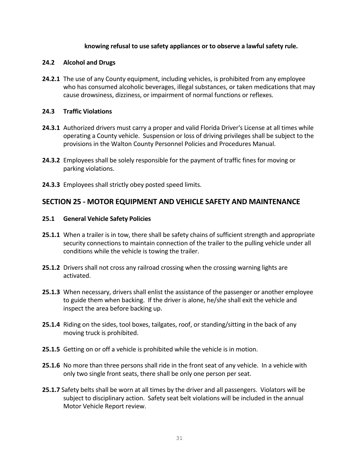#### **knowing refusal to use safety appliances or to observe a lawful safety rule.**

#### **24.2 Alcohol and Drugs**

**24.2.1** The use of any County equipment, including vehicles, is prohibited from any employee who has consumed alcoholic beverages, illegal substances, or taken medications that may cause drowsiness, dizziness, or impairment of normal functions or reflexes.

#### **24.3 Traffic Violations**

- **24.3.1** Authorized drivers must carry a proper and valid Florida Driver's License at all times while operating a County vehicle. Suspension or loss of driving privileges shall be subject to the provisions in the Walton County Personnel Policies and Procedures Manual.
- **24.3.2** Employees shall be solely responsible for the payment of traffic fines for moving or parking violations.
- **24.3.3** Employees shall strictly obey posted speed limits.

# **SECTION 25 - MOTOR EQUIPMENT AND VEHICLE SAFETY AND MAINTENANCE**

#### **25.1 General Vehicle Safety Policies**

- **25.1.1** When a trailer is in tow, there shall be safety chains of sufficient strength and appropriate security connections to maintain connection of the trailer to the pulling vehicle under all conditions while the vehicle is towing the trailer.
- **25.1.2** Drivers shall not cross any railroad crossing when the crossing warning lights are activated.
- **25.1.3** When necessary, drivers shall enlist the assistance of the passenger or another employee to guide them when backing. If the driver is alone, he/she shall exit the vehicle and inspect the area before backing up.
- **25.1.4** Riding on the sides, tool boxes, tailgates, roof, or standing/sitting in the back of any moving truck is prohibited.
- **25.1.5** Getting on or off a vehicle is prohibited while the vehicle is in motion.
- **25.1.6** No more than three persons shall ride in the front seat of any vehicle. In a vehicle with only two single front seats, there shall be only one person per seat.
- **25.1.7** Safety belts shall be worn at all times by the driver and all passengers. Violators will be subject to disciplinary action. Safety seat belt violations will be included in the annual Motor Vehicle Report review.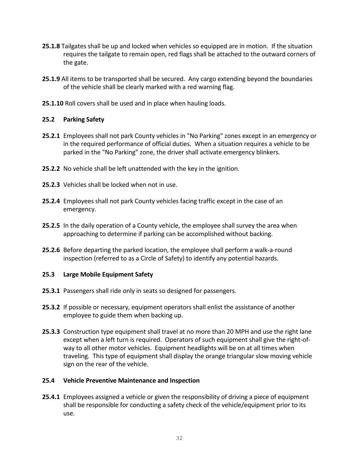- **25.1.8** Tailgates shall be up and locked when vehicles so equipped are in motion. If the situation requires the tailgate to remain open, red flags shall be attached to the outward corners of the gate.
- **25.1.9** All items to be transported shall be secured. Any cargo extending beyond the boundaries of the vehicle shall be clearly marked with a red warning flag.
- **25.1.10** Roll covers shall be used and in place when hauling loads.

# **25.2 Parking Safety**

- **25.2.1** Employees shall not park County vehicles in "No Parking" zones except in an emergency or in the required performance of official duties. When a situation requires a vehicle to be parked in the "No Parking" zone, the driver shall activate emergency blinkers.
- **25.2.2** No vehicle shall be left unattended with the key in the ignition.
- **25.2.3** Vehicles shall be locked when not in use.
- **25.2.4** Employees shall not park County vehicles facing traffic except in the case of an emergency.
- **25.2.5** In the daily operation of a County vehicle, the employee shall survey the area when approaching to determine if parking can be accomplished without backing.
- **25.2.6** Before departing the parked location, the employee shall perform a walk-a-round inspection (referred to as a Circle of Safety) to identify any potential hazards.

#### **25.3 Large Mobile Equipment Safety**

- **25.3.1** Passengers shall ride only in seats so designed for passengers.
- **25.3.2** If possible or necessary, equipment operators shall enlist the assistance of another employee to guide them when backing up.
- **25.3.3** Construction type equipment shall travel at no more than 20 MPH and use the right lane except when a left turn is required. Operators of such equipment shall give the right-ofway to all other motor vehicles. Equipment headlights will be on at all times when traveling. This type of equipment shall display the orange triangular slow moving vehicle sign on the rear of the vehicle.

#### **25.4 Vehicle Preventive Maintenance and Inspection**

**25.4.1** Employees assigned a vehicle or given the responsibility of driving a piece of equipment shall be responsible for conducting a safety check of the vehicle/equipment prior to its use.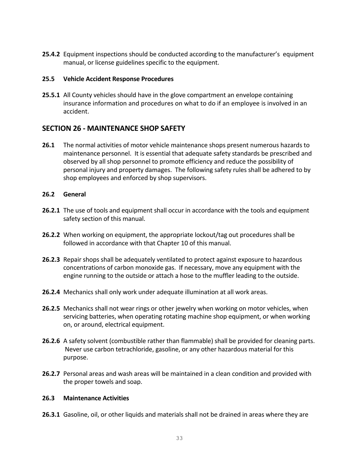**25.4.2** Equipment inspections should be conducted according to the manufacturer's equipment manual, or license guidelines specific to the equipment.

#### **25.5 Vehicle Accident Response Procedures**

**25.5.1** All County vehicles should have in the glove compartment an envelope containing insurance information and procedures on what to do if an employee is involved in an accident.

# **SECTION 26 - MAINTENANCE SHOP SAFETY**

**26.1** The normal activities of motor vehicle maintenance shops present numerous hazards to maintenance personnel. It is essential that adequate safety standards be prescribed and observed by all shop personnel to promote efficiency and reduce the possibility of personal injury and property damages. The following safety rules shall be adhered to by shop employees and enforced by shop supervisors.

#### **26.2 General**

- **26.2.1** The use of tools and equipment shall occur in accordance with the tools and equipment safety section of this manual.
- **26.2.2** When working on equipment, the appropriate lockout/tag out procedures shall be followed in accordance with that Chapter 10 of this manual.
- **26.2.3** Repair shops shall be adequately ventilated to protect against exposure to hazardous concentrations of carbon monoxide gas. If necessary, move any equipment with the engine running to the outside or attach a hose to the muffler leading to the outside.
- **26.2.4** Mechanics shall only work under adequate illumination at all work areas.
- **26.2.5** Mechanics shall not wear rings or other jewelry when working on motor vehicles, when servicing batteries, when operating rotating machine shop equipment, or when working on, or around, electrical equipment.
- **26.2.6** A safety solvent (combustible rather than flammable) shall be provided for cleaning parts. Never use carbon tetrachloride, gasoline, or any other hazardous material for this purpose.
- **26.2.7** Personal areas and wash areas will be maintained in a clean condition and provided with the proper towels and soap.

#### **26.3 Maintenance Activities**

**26.3.1** Gasoline, oil, or other liquids and materials shall not be drained in areas where they are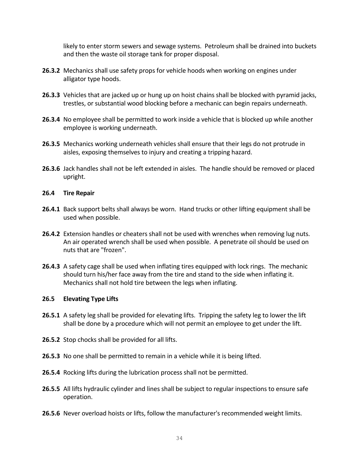likely to enter storm sewers and sewage systems. Petroleum shall be drained into buckets and then the waste oil storage tank for proper disposal.

- **26.3.2** Mechanics shall use safety props for vehicle hoods when working on engines under alligator type hoods.
- **26.3.3** Vehicles that are jacked up or hung up on hoist chains shall be blocked with pyramid jacks, trestles, or substantial wood blocking before a mechanic can begin repairs underneath.
- **26.3.4** No employee shall be permitted to work inside a vehicle that is blocked up while another employee is working underneath.
- **26.3.5** Mechanics working underneath vehicles shall ensure that their legs do not protrude in aisles, exposing themselves to injury and creating a tripping hazard.
- **26.3.6** Jack handles shall not be left extended in aisles. The handle should be removed or placed upright.

#### **26.4 Tire Repair**

- **26.4.1** Back support belts shall always be worn. Hand trucks or other lifting equipment shall be used when possible.
- **26.4.2** Extension handles or cheaters shall not be used with wrenches when removing lug nuts. An air operated wrench shall be used when possible. A penetrate oil should be used on nuts that are "frozen".
- **26.4.3** A safety cage shall be used when inflating tires equipped with lock rings. The mechanic should turn his/her face away from the tire and stand to the side when inflating it. Mechanics shall not hold tire between the legs when inflating.

#### **26.5 Elevating Type Lifts**

- **26.5.1** A safety leg shall be provided for elevating lifts. Tripping the safety leg to lower the lift shall be done by a procedure which will not permit an employee to get under the lift.
- 26.5.2 Stop chocks shall be provided for all lifts.
- **26.5.3** No one shall be permitted to remain in a vehicle while it is being lifted.
- **26.5.4** Rocking lifts during the lubrication process shall not be permitted.
- **26.5.5** All lifts hydraulic cylinder and lines shall be subject to regular inspections to ensure safe operation.
- **26.5.6** Never overload hoists or lifts, follow the manufacturer's recommended weight limits.